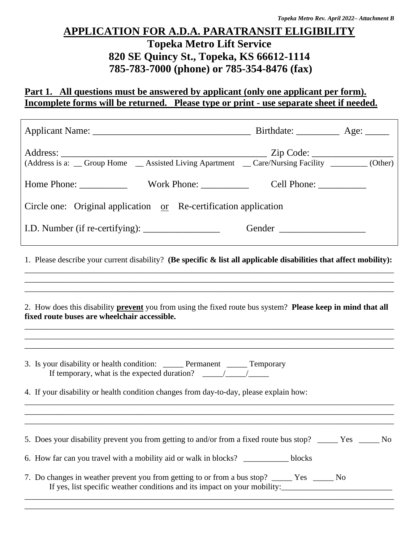# **APPLICATION FOR A.D.A. PARATRANSIT ELIGIBILITY**

## **Topeka Metro Lift Service 820 SE Quincy St., Topeka, KS 66612-1114 785-783-7000 (phone) or 785-354-8476 (fax)**

## Part 1. All questions must be answered by applicant (only one applicant per form). **Incomplete forms will be returned. Please type or print - use separate sheet if needed.**

| (Address is a: Group Home Assisted Living Apartment Care/Nursing Facility Cother)                                                                                                                                                                                                                                                                                                                                                                                         |  |
|---------------------------------------------------------------------------------------------------------------------------------------------------------------------------------------------------------------------------------------------------------------------------------------------------------------------------------------------------------------------------------------------------------------------------------------------------------------------------|--|
|                                                                                                                                                                                                                                                                                                                                                                                                                                                                           |  |
| Circle one: Original application <u>or</u> Re-certification application                                                                                                                                                                                                                                                                                                                                                                                                   |  |
|                                                                                                                                                                                                                                                                                                                                                                                                                                                                           |  |
| 1. Please describe your current disability? (Be specific $\&$ list all applicable disabilities that affect mobility):                                                                                                                                                                                                                                                                                                                                                     |  |
| 2. How does this disability <b>prevent</b> you from using the fixed route bus system? <b>Please keep in mind that all</b><br>fixed route buses are wheelchair accessible.                                                                                                                                                                                                                                                                                                 |  |
| 3. Is your disability or health condition: ______ Permanent ______ Temporary<br>If temporary, what is the expected duration? $\frac{1}{\sqrt{1-\frac{1}{\sqrt{1-\frac{1}{\sqrt{1-\frac{1}{\sqrt{1-\frac{1}{\sqrt{1-\frac{1}{\sqrt{1-\frac{1}{\sqrt{1-\frac{1}{\sqrt{1-\frac{1}{\sqrt{1-\frac{1}{\sqrt{1-\frac{1}{\sqrt{1-\frac{1}{\sqrt{1-\frac{1}{\sqrt{1-\frac{1}{\sqrt{1-\frac{1}{\sqrt{1-\frac{1}{\sqrt{1-\frac{1}{\sqrt{1-\frac{1}{\sqrt{1-\frac{1}{\sqrt{1-\frac{1$ |  |
| 4. If your disability or health condition changes from day-to-day, please explain how:                                                                                                                                                                                                                                                                                                                                                                                    |  |
|                                                                                                                                                                                                                                                                                                                                                                                                                                                                           |  |
| 5. Does your disability prevent you from getting to and/or from a fixed route bus stop? _____ Yes _____ No                                                                                                                                                                                                                                                                                                                                                                |  |
| 6. How far can you travel with a mobility aid or walk in blocks? ______________blocks                                                                                                                                                                                                                                                                                                                                                                                     |  |
| 7. Do changes in weather prevent you from getting to or from a bus stop? _____ Yes _____ No                                                                                                                                                                                                                                                                                                                                                                               |  |

\_\_\_\_\_\_\_\_\_\_\_\_\_\_\_\_\_\_\_\_\_\_\_\_\_\_\_\_\_\_\_\_\_\_\_\_\_\_\_\_\_\_\_\_\_\_\_\_\_\_\_\_\_\_\_\_\_\_\_\_\_\_\_\_\_\_\_\_\_\_\_\_\_\_\_\_\_\_\_\_\_\_\_\_\_\_\_\_\_\_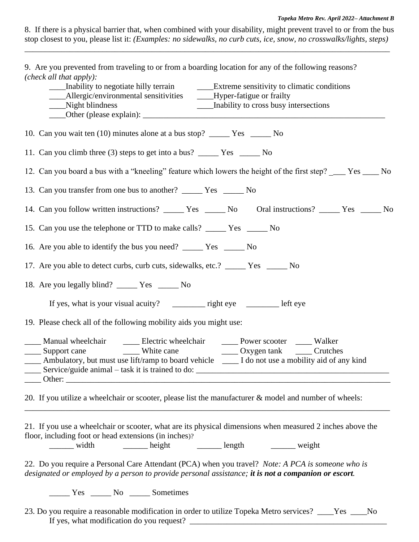#### *Topeka Metro Rev. April 2022– Attachment B*

| 8. If there is a physical barrier that, when combined with your disability, might prevent travel to or from the bus |  |  |  |  |  |
|---------------------------------------------------------------------------------------------------------------------|--|--|--|--|--|
| stop closest to you, please list it: (Examples: no sidewalks, no curb cuts, ice, snow, no crosswalks/lights, steps) |  |  |  |  |  |

\_\_\_\_\_\_\_\_\_\_\_\_\_\_\_\_\_\_\_\_\_\_\_\_\_\_\_\_\_\_\_\_\_\_\_\_\_\_\_\_\_\_\_\_\_\_\_\_\_\_\_\_\_\_\_\_\_\_\_\_\_\_\_\_\_\_\_\_\_\_\_\_\_\_\_\_\_\_\_\_\_\_\_\_\_\_\_\_\_

9. Are you prevented from traveling to or from a boarding location for any of the following reasons? *(check all that apply):*

| (check all that apply):<br>Inability to negotiate hilly terrain Extreme sensitivity to climatic conditions<br>___Allergic/environmental sensitivities _____Hyper-fatigue or frailty<br>___Night blindness<br>___ Inability to cross busy intersections                                                                                                                                                                                                                                                                                                                                                                                                                                                                                                                                                                       |
|------------------------------------------------------------------------------------------------------------------------------------------------------------------------------------------------------------------------------------------------------------------------------------------------------------------------------------------------------------------------------------------------------------------------------------------------------------------------------------------------------------------------------------------------------------------------------------------------------------------------------------------------------------------------------------------------------------------------------------------------------------------------------------------------------------------------------|
|                                                                                                                                                                                                                                                                                                                                                                                                                                                                                                                                                                                                                                                                                                                                                                                                                              |
|                                                                                                                                                                                                                                                                                                                                                                                                                                                                                                                                                                                                                                                                                                                                                                                                                              |
| 12. Can you board a bus with a "kneeling" feature which lowers the height of the first step? ____ Yes ____ No                                                                                                                                                                                                                                                                                                                                                                                                                                                                                                                                                                                                                                                                                                                |
|                                                                                                                                                                                                                                                                                                                                                                                                                                                                                                                                                                                                                                                                                                                                                                                                                              |
|                                                                                                                                                                                                                                                                                                                                                                                                                                                                                                                                                                                                                                                                                                                                                                                                                              |
|                                                                                                                                                                                                                                                                                                                                                                                                                                                                                                                                                                                                                                                                                                                                                                                                                              |
| 16. Are you able to identify the bus you need? ________ Yes ________ No                                                                                                                                                                                                                                                                                                                                                                                                                                                                                                                                                                                                                                                                                                                                                      |
| 17. Are you able to detect curbs, curb cuts, sidewalks, etc.? _____ Yes _____ No                                                                                                                                                                                                                                                                                                                                                                                                                                                                                                                                                                                                                                                                                                                                             |
| 18. Are you legally blind? ________ Yes ________ No                                                                                                                                                                                                                                                                                                                                                                                                                                                                                                                                                                                                                                                                                                                                                                          |
|                                                                                                                                                                                                                                                                                                                                                                                                                                                                                                                                                                                                                                                                                                                                                                                                                              |
| 19. Please check all of the following mobility aids you might use:                                                                                                                                                                                                                                                                                                                                                                                                                                                                                                                                                                                                                                                                                                                                                           |
| ____ Ambulatory, but must use lift/ramp to board vehicle ____ I do not use a mobility aid of any kind<br>Service/guide animal – task it is trained to do:                                                                                                                                                                                                                                                                                                                                                                                                                                                                                                                                                                                                                                                                    |
| 20. If you utilize a wheelchair or scooter, please list the manufacturer & model and number of wheels:                                                                                                                                                                                                                                                                                                                                                                                                                                                                                                                                                                                                                                                                                                                       |
| 21. If you use a wheelchair or scooter, what are its physical dimensions when measured 2 inches above the<br>floor, including foot or head extensions (in inches)?<br>manufactured media and the set of the set of the set of the set of the set of the set of the set of the set of the set of the set of the set of the set of the set of the set of the set of the set of the set of the set of t<br>$\frac{1}{\sqrt{1-\frac{1}{2}}\sqrt{1-\frac{1}{2}}\sqrt{1-\frac{1}{2}}\sqrt{1-\frac{1}{2}}\sqrt{1-\frac{1}{2}}\sqrt{1-\frac{1}{2}}\sqrt{1-\frac{1}{2}}\sqrt{1-\frac{1}{2}}\sqrt{1-\frac{1}{2}}\sqrt{1-\frac{1}{2}}\sqrt{1-\frac{1}{2}}\sqrt{1-\frac{1}{2}}\sqrt{1-\frac{1}{2}}\sqrt{1-\frac{1}{2}}\sqrt{1-\frac{1}{2}}\sqrt{1-\frac{1}{2}}\sqrt{1-\frac{1}{2}}\sqrt{1-\frac{1}{2}}\sqrt{1-\frac{1}{2}}\sqrt{1-\frac$ |
| 22. Do you require a Personal Care Attendant (PCA) when you travel? Note: A PCA is someone who is<br>designated or employed by a person to provide personal assistance; it is not a companion or escort.                                                                                                                                                                                                                                                                                                                                                                                                                                                                                                                                                                                                                     |
| ________ Yes _______ No _______ Sometimes                                                                                                                                                                                                                                                                                                                                                                                                                                                                                                                                                                                                                                                                                                                                                                                    |
| 23. Do you require a reasonable modification in order to utilize Topeka Metro services? ____Yes ____No                                                                                                                                                                                                                                                                                                                                                                                                                                                                                                                                                                                                                                                                                                                       |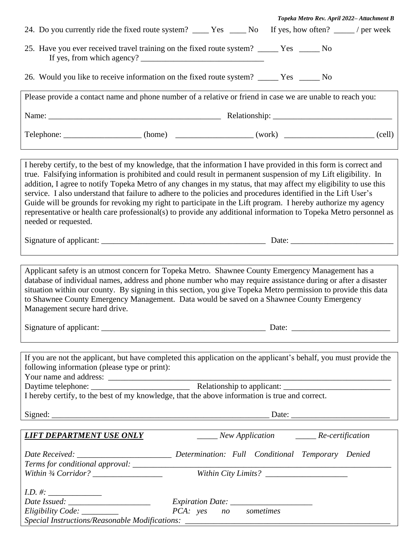| Topeka Metro Rev. April 2022-Attachment B                                                                                                                                                                                                                                                                                                                                                                                                                                                                                                                                                                                                                                                                                           |  |  |  |  |  |
|-------------------------------------------------------------------------------------------------------------------------------------------------------------------------------------------------------------------------------------------------------------------------------------------------------------------------------------------------------------------------------------------------------------------------------------------------------------------------------------------------------------------------------------------------------------------------------------------------------------------------------------------------------------------------------------------------------------------------------------|--|--|--|--|--|
| 25. Have you ever received travel training on the fixed route system? _____ Yes _____ No                                                                                                                                                                                                                                                                                                                                                                                                                                                                                                                                                                                                                                            |  |  |  |  |  |
| 26. Would you like to receive information on the fixed route system? _____ Yes _____ No                                                                                                                                                                                                                                                                                                                                                                                                                                                                                                                                                                                                                                             |  |  |  |  |  |
| Please provide a contact name and phone number of a relative or friend in case we are unable to reach you:                                                                                                                                                                                                                                                                                                                                                                                                                                                                                                                                                                                                                          |  |  |  |  |  |
|                                                                                                                                                                                                                                                                                                                                                                                                                                                                                                                                                                                                                                                                                                                                     |  |  |  |  |  |
| Telephone: ___________________(home) ________________(work) _________________(cell)                                                                                                                                                                                                                                                                                                                                                                                                                                                                                                                                                                                                                                                 |  |  |  |  |  |
|                                                                                                                                                                                                                                                                                                                                                                                                                                                                                                                                                                                                                                                                                                                                     |  |  |  |  |  |
| I hereby certify, to the best of my knowledge, that the information I have provided in this form is correct and<br>true. Falsifying information is prohibited and could result in permanent suspension of my Lift eligibility. In<br>addition, I agree to notify Topeka Metro of any changes in my status, that may affect my eligibility to use this<br>service. I also understand that failure to adhere to the policies and procedures identified in the Lift User's<br>Guide will be grounds for revoking my right to participate in the Lift program. I hereby authorize my agency<br>representative or health care professional(s) to provide any additional information to Topeka Metro personnel as<br>needed or requested. |  |  |  |  |  |
|                                                                                                                                                                                                                                                                                                                                                                                                                                                                                                                                                                                                                                                                                                                                     |  |  |  |  |  |
|                                                                                                                                                                                                                                                                                                                                                                                                                                                                                                                                                                                                                                                                                                                                     |  |  |  |  |  |
| Applicant safety is an utmost concern for Topeka Metro. Shawnee County Emergency Management has a<br>database of individual names, address and phone number who may require assistance during or after a disaster<br>situation within our county. By signing in this section, you give Topeka Metro permission to provide this data<br>to Shawnee County Emergency Management. Data would be saved on a Shawnee County Emergency<br>Management secure hard drive.                                                                                                                                                                                                                                                                   |  |  |  |  |  |
| Date:                                                                                                                                                                                                                                                                                                                                                                                                                                                                                                                                                                                                                                                                                                                               |  |  |  |  |  |
|                                                                                                                                                                                                                                                                                                                                                                                                                                                                                                                                                                                                                                                                                                                                     |  |  |  |  |  |
| If you are not the applicant, but have completed this application on the applicant's behalf, you must provide the<br>following information (please type or print):                                                                                                                                                                                                                                                                                                                                                                                                                                                                                                                                                                  |  |  |  |  |  |
|                                                                                                                                                                                                                                                                                                                                                                                                                                                                                                                                                                                                                                                                                                                                     |  |  |  |  |  |
| I hereby certify, to the best of my knowledge, that the above information is true and correct.                                                                                                                                                                                                                                                                                                                                                                                                                                                                                                                                                                                                                                      |  |  |  |  |  |
|                                                                                                                                                                                                                                                                                                                                                                                                                                                                                                                                                                                                                                                                                                                                     |  |  |  |  |  |
|                                                                                                                                                                                                                                                                                                                                                                                                                                                                                                                                                                                                                                                                                                                                     |  |  |  |  |  |
| ______ New Application _______ Re-certification<br><i>LIFT DEPARTMENT USE ONLY</i>                                                                                                                                                                                                                                                                                                                                                                                                                                                                                                                                                                                                                                                  |  |  |  |  |  |
|                                                                                                                                                                                                                                                                                                                                                                                                                                                                                                                                                                                                                                                                                                                                     |  |  |  |  |  |
|                                                                                                                                                                                                                                                                                                                                                                                                                                                                                                                                                                                                                                                                                                                                     |  |  |  |  |  |
| <i>Expiration Date:</i><br>PCA: yes no sometimes<br>Eligibility Code: _________<br>Special Instructions/Reasonable Modifications: __________________________________                                                                                                                                                                                                                                                                                                                                                                                                                                                                                                                                                                |  |  |  |  |  |